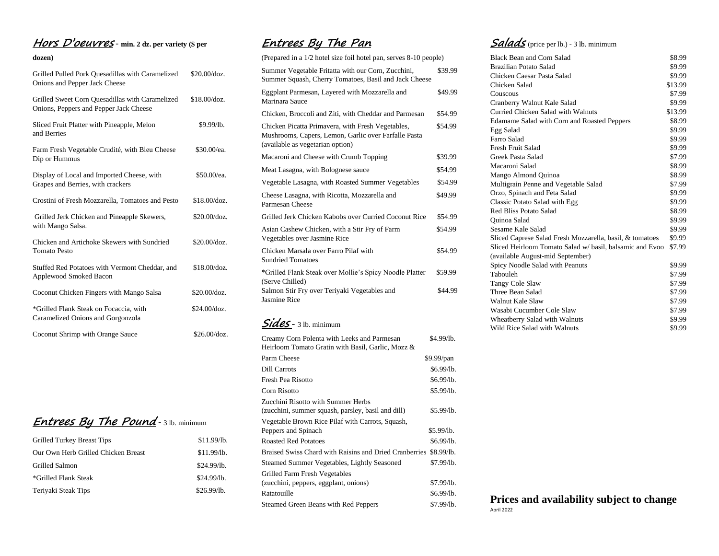## **Hors D'oeuvres** - **min. 2 dz. per variety (\$ per**

#### **dozen)**

| Grilled Pulled Pork Ouesadillas with Caramelized<br>Onions and Pepper Jack Cheese         | \$20.00/doz.         |
|-------------------------------------------------------------------------------------------|----------------------|
| Grilled Sweet Corn Quesadillas with Caramelized<br>Onions, Peppers and Pepper Jack Cheese | \$18.00/doz.         |
| Sliced Fruit Platter with Pineapple, Melon<br>and Berries                                 | \$9.99/lb.           |
| Farm Fresh Vegetable Crudité, with Bleu Cheese<br>Dip or Hummus                           | \$30.00/ea.          |
| Display of Local and Imported Cheese, with<br>Grapes and Berries, with crackers           | \$50.00/ea.          |
| Crostini of Fresh Mozzarella, Tomatoes and Pesto                                          | $$18.00/\text{doz}.$ |
| Grilled Jerk Chicken and Pineapple Skewers,<br>with Mango Salsa.                          | $$20.00/\text{doz}.$ |
| Chicken and Artichoke Skewers with Sundried<br><b>Tomato Pesto</b>                        | \$20.00/doz.         |
| Stuffed Red Potatoes with Vermont Cheddar, and<br>Applewood Smoked Bacon                  | \$18.00/doz.         |
| Coconut Chicken Fingers with Mango Salsa                                                  | \$20.00/doz.         |
| *Grilled Flank Steak on Focaccia, with<br>Caramelized Onions and Gorgonzola               | $$24.00/\text{doz}.$ |
| Coconut Shrimp with Orange Sauce                                                          | \$26.00/doz.         |

# **Entrees By The Pound** - 3 lb. minimum

| Grilled Turkey Breast Tips          | \$11.99/lb. |
|-------------------------------------|-------------|
| Our Own Herb Grilled Chicken Breast | \$11.99/b.  |
| Grilled Salmon                      | \$24.99/h.  |
| *Grilled Flank Steak                | \$24.99/lb. |
| Teriyaki Steak Tips                 | \$26.99/lb. |

## **Entrees By The Pan**

| (Prepared in a 1/2 hotel size foil hotel pan, serves 8-10 people)                                                                             |         |
|-----------------------------------------------------------------------------------------------------------------------------------------------|---------|
| Summer Vegetable Fritatta with our Corn, Zucchini,<br>Summer Squash, Cherry Tomatoes, Basil and Jack Cheese                                   | \$39.99 |
| Eggplant Parmesan, Layered with Mozzarella and<br>Marinara Sauce                                                                              | \$49.99 |
| Chicken, Broccoli and Ziti, with Cheddar and Parmesan                                                                                         | \$54.99 |
| Chicken Picatta Primavera, with Fresh Vegetables,<br>Mushrooms, Capers, Lemon, Garlic over Farfalle Pasta<br>(available as vegetarian option) | \$54.99 |
| Macaroni and Cheese with Crumb Topping                                                                                                        | \$39.99 |
| Meat Lasagna, with Bolognese sauce                                                                                                            | \$54.99 |
| Vegetable Lasagna, with Roasted Summer Vegetables                                                                                             | \$54.99 |
| Cheese Lasagna, with Ricotta, Mozzarella and<br>Parmesan Cheese                                                                               | \$49.99 |
| Grilled Jerk Chicken Kabobs over Curried Coconut Rice                                                                                         | \$54.99 |
| Asian Cashew Chicken, with a Stir Fry of Farm<br>Vegetables over Jasmine Rice                                                                 | \$54.99 |
| Chicken Marsala over Farro Pilaf with<br><b>Sundried Tomatoes</b>                                                                             | \$54.99 |
| *Grilled Flank Steak over Mollie's Spicy Noodle Platter<br>(Serve Chilled)                                                                    | \$59.99 |
| Salmon Stir Fry over Teriyaki Vegetables and<br><b>Jasmine Rice</b>                                                                           | \$44.99 |

### **Sides** - 3 lb. minimum

| Creamy Corn Polenta with Leeks and Parmesan            | \$4.99/lb. |
|--------------------------------------------------------|------------|
| Heirloom Tomato Gratin with Basil, Garlic, Mozz &      |            |
| Parm Cheese                                            | \$9.99/pan |
| Dill Carrots                                           | \$6.99/lb. |
| Fresh Pea Risotto                                      | \$6.99/lb. |
| Corn Risotto                                           | \$5.99/lb. |
| Zucchini Risotto with Summer Herbs                     |            |
| (zucchini, summer squash, parsley, basil and dill)     | \$5.99/lb. |
| Vegetable Brown Rice Pilaf with Carrots, Squash,       |            |
| Peppers and Spinach                                    | \$5.99/lb. |
| <b>Roasted Red Potatoes</b>                            | \$6.99/lb. |
| Braised Swiss Chard with Raisins and Dried Cranberries | \$8.99/lb. |
| Steamed Summer Vegetables, Lightly Seasoned            | \$7.99/lb. |
| Grilled Farm Fresh Vegetables                          |            |
| (zucchini, peppers, eggplant, onions)                  | \$7.99/lb. |
| Ratatouille                                            | \$6.99/lb. |
| Steamed Green Beans with Red Peppers                   | \$7.99/lb. |

## **Salads** (price per lb.) - 3 lb. minimum

| <b>Black Bean and Corn Salad</b>                         | \$8.99  |
|----------------------------------------------------------|---------|
| Brazilian Potato Salad                                   | \$9.99  |
| Chicken Caesar Pasta Salad                               | \$9.99  |
| Chicken Salad                                            | \$13.99 |
| Couscous                                                 | \$7.99  |
| Cranberry Walnut Kale Salad                              | \$9.99  |
| Curried Chicken Salad with Walnuts                       | \$13.99 |
| Edamame Salad with Corn and Roasted Peppers              | \$8.99  |
| Egg Salad                                                | \$9.99  |
| Farro Salad                                              | \$9.99  |
| Fresh Fruit Salad                                        | \$9.99  |
| Greek Pasta Salad                                        | \$7.99  |
| Macaroni Salad                                           | \$8.99  |
| Mango Almond Quinoa                                      | \$8.99  |
| Multigrain Penne and Vegetable Salad                     | \$7.99  |
| Orzo, Spinach and Feta Salad                             | \$9.99  |
| Classic Potato Salad with Egg                            | \$9.99  |
| Red Bliss Potato Salad                                   | \$8.99  |
| Quinoa Salad                                             | \$9.99  |
| Sesame Kale Salad                                        | \$9.99  |
| Sliced Caprese Salad Fresh Mozzarella, basil, & tomatoes | \$9.99  |
| Sliced Heirloom Tomato Salad w/basil, balsamic and Evoo  | \$7.99  |
| (available August-mid September)                         |         |
| Spicy Noodle Salad with Peanuts                          | \$9.99  |
| Tabouleh                                                 | \$7.99  |
| Tangy Cole Slaw                                          | \$7.99  |
| Three Bean Salad                                         | \$7.99  |
| Walnut Kale Slaw                                         | \$7.99  |
| Wasabi Cucumber Cole Slaw                                | \$7.99  |
| Wheatberry Salad with Walnuts                            | \$9.99  |
| Wild Rice Salad with Walnuts                             | \$9.99  |

#### **Prices and availability subject to change** April 2022